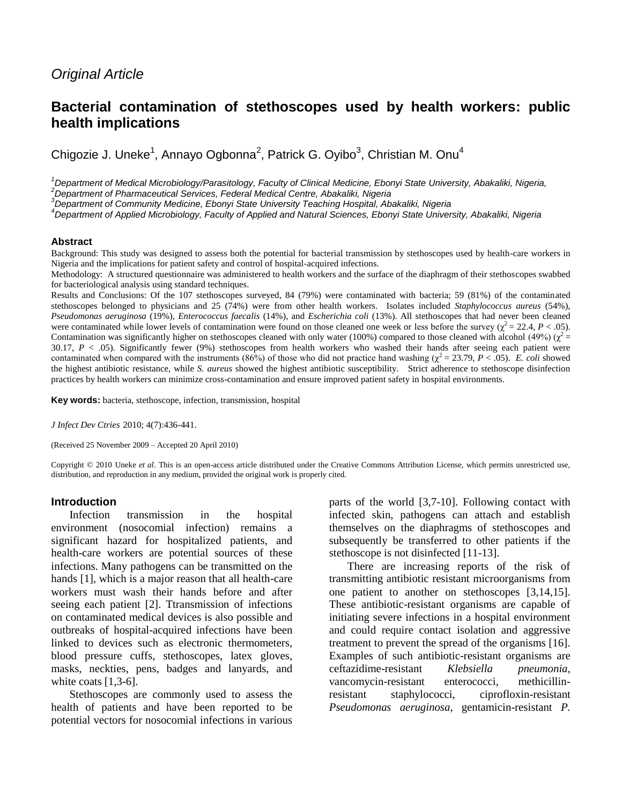# *Original Article*

# **Bacterial contamination of stethoscopes used by health workers: public health implications**

Chigozie J. Uneke<sup>1</sup>, Annayo Ogbonna<sup>2</sup>, Patrick G. Oyibo<sup>3</sup>, Christian M. Onu<sup>4</sup>

*<sup>1</sup>Department of Medical Microbiology/Parasitology, Faculty of Clinical Medicine, Ebonyi State University, Abakaliki, Nigeria,*

*<sup>2</sup>Department of Pharmaceutical Services, Federal Medical Centre, Abakaliki, Nigeria*

*<sup>3</sup>Department of Community Medicine, Ebonyi State University Teaching Hospital, Abakaliki, Nigeria*

*<sup>4</sup>Department of Applied Microbiology, Faculty of Applied and Natural Sciences, Ebonyi State University, Abakaliki, Nigeria*

#### **Abstract**

Background: This study was designed to assess both the potential for bacterial transmission by stethoscopes used by health-care workers in Nigeria and the implications for patient safety and control of hospital-acquired infections.

Methodology: A structured questionnaire was administered to health workers and the surface of the diaphragm of their stethoscopes swabbed for bacteriological analysis using standard techniques.

Results and Conclusions: Of the 107 stethoscopes surveyed, 84 (79%) were contaminated with bacteria; 59 (81%) of the contaminated stethoscopes belonged to physicians and 25 (74%) were from other health workers. Isolates included *Staphylococcus aureus* (54%), *Pseudomonas aeruginosa* (19%), *Enterococcus faecalis* (14%), and *Escherichia coli* (13%). All stethoscopes that had never been cleaned were contaminated while lower levels of contamination were found on those cleaned one week or less before the survey ( $\chi^2 = 22.4$ ,  $P < .05$ ). Contamination was significantly higher on stethoscopes cleaned with only water (100%) compared to those cleaned with alcohol (49%) ( $\chi^2$  = 30.17, *P* < .05). Significantly fewer (9%) stethoscopes from health workers who washed their hands after seeing each patient were contaminated when compared with the instruments (86%) of those who did not practice hand washing ( $\chi^2 = 23.79$ ,  $P < .05$ ). *E. coli* showed the highest antibiotic resistance, while *S. aureus* showed the highest antibiotic susceptibility. Strict adherence to stethoscope disinfection practices by health workers can minimize cross-contamination and ensure improved patient safety in hospital environments.

**Key words:** bacteria, stethoscope, infection, transmission, hospital

*J Infect Dev Ctries* 2010; 4(7):436-441.

(Received 25 November 2009 – Accepted 20 April 2010)

Copyright © 2010 Uneke *et al*. This is an open-access article distributed under the Creative Commons Attribution License, which permits unrestricted use, distribution, and reproduction in any medium, provided the original work is properly cited.

#### **Introduction**

Infection transmission in the hospital environment (nosocomial infection) remains a significant hazard for hospitalized patients, and health-care workers are potential sources of these infections. Many pathogens can be transmitted on the hands [1], which is a major reason that all health-care workers must wash their hands before and after seeing each patient [2]. Ttransmission of infections on contaminated medical devices is also possible and outbreaks of hospital-acquired infections have been linked to devices such as electronic thermometers, blood pressure cuffs, stethoscopes, latex gloves, masks, neckties, pens, badges and lanyards, and white coats  $[1,3-6]$ .

Stethoscopes are commonly used to assess the health of patients and have been reported to be potential vectors for nosocomial infections in various parts of the world [3,7-10]. Following contact with infected skin, pathogens can attach and establish themselves on the diaphragms of stethoscopes and subsequently be transferred to other patients if the stethoscope is not disinfected [11-13].

There are increasing reports of the risk of transmitting antibiotic resistant microorganisms from one patient to another on stethoscopes [3,14,15]. These antibiotic-resistant organisms are capable of initiating severe infections in a hospital environment and could require contact isolation and aggressive treatment to prevent the spread of the organisms [16]. Examples of such antibiotic-resistant organisms are ceftazidime-resistant *Klebsiella pneumonia*, vancomycin-resistant enterococci, methicillinresistant staphylococci, ciprofloxin-resistant *Pseudomonas aeruginosa*, gentamicin-resistant *P.*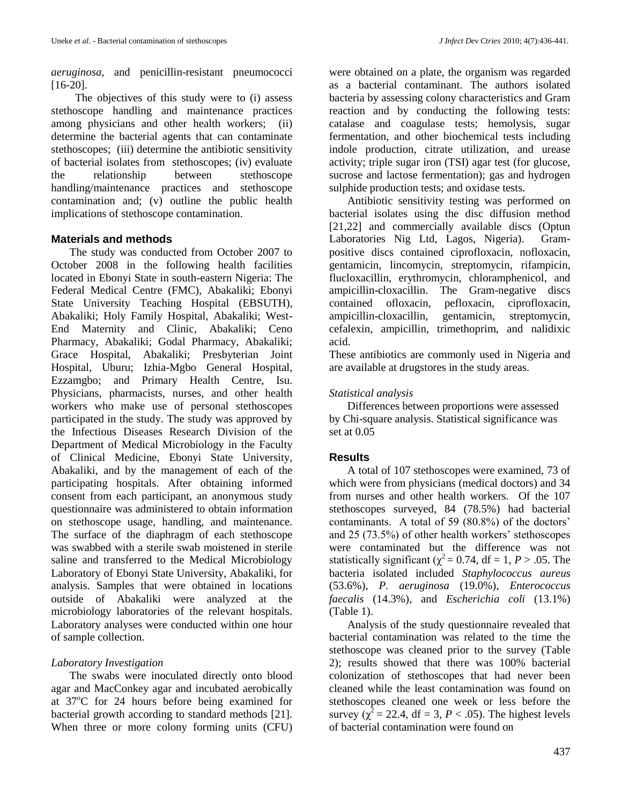*aeruginosa*, and penicillin-resistant pneumococci [16-20].

 The objectives of this study were to (i) assess stethoscope handling and maintenance practices among physicians and other health workers; (ii) determine the bacterial agents that can contaminate stethoscopes; (iii) determine the antibiotic sensitivity of bacterial isolates from stethoscopes; (iv) evaluate the relationship between stethoscope handling/maintenance practices and stethoscope contamination and; (v) outline the public health implications of stethoscope contamination.

### **Materials and methods**

The study was conducted from October 2007 to October 2008 in the following health facilities located in Ebonyi State in south-eastern Nigeria: The Federal Medical Centre (FMC), Abakaliki; Ebonyi State University Teaching Hospital (EBSUTH), Abakaliki; Holy Family Hospital, Abakaliki; West-End Maternity and Clinic, Abakaliki; Ceno Pharmacy, Abakaliki; Godal Pharmacy, Abakaliki; Grace Hospital, Abakaliki; Presbyterian Joint Hospital, Uburu; Izhia-Mgbo General Hospital, Ezzamgbo; and Primary Health Centre, Isu. Physicians, pharmacists, nurses, and other health workers who make use of personal stethoscopes participated in the study. The study was approved by the Infectious Diseases Research Division of the Department of Medical Microbiology in the Faculty of Clinical Medicine, Ebonyi State University, Abakaliki, and by the management of each of the participating hospitals. After obtaining informed consent from each participant, an anonymous study questionnaire was administered to obtain information on stethoscope usage, handling, and maintenance. The surface of the diaphragm of each stethoscope was swabbed with a sterile swab moistened in sterile saline and transferred to the Medical Microbiology Laboratory of Ebonyi State University, Abakaliki, for analysis. Samples that were obtained in locations outside of Abakaliki were analyzed at the microbiology laboratories of the relevant hospitals. Laboratory analyses were conducted within one hour of sample collection.

### *Laboratory Investigation*

The swabs were inoculated directly onto blood agar and MacConkey agar and incubated aerobically at  $37^{\circ}$ C for 24 hours before being examined for bacterial growth according to standard methods [21]. When three or more colony forming units (CFU) were obtained on a plate, the organism was regarded as a bacterial contaminant. The authors isolated bacteria by assessing colony characteristics and Gram reaction and by conducting the following tests: catalase and coagulase tests; hemolysis, sugar fermentation, and other biochemical tests including indole production, citrate utilization, and urease activity; triple sugar iron (TSI) agar test (for glucose, sucrose and lactose fermentation); gas and hydrogen sulphide production tests; and oxidase tests.

Antibiotic sensitivity testing was performed on bacterial isolates using the disc diffusion method [21,22] and commercially available discs (Optun Laboratories Nig Ltd, Lagos, Nigeria). Grampositive discs contained ciprofloxacin, nofloxacin, gentamicin, lincomycin, streptomycin, [rifampicin,](http://en.wikipedia.org/wiki/Rifampicin) flucloxacillin, erythromycin, chloramphenicol, and ampicillin-cloxacillin. The Gram-negative discs contained ofloxacin, pefloxacin, ciprofloxacin, ampicillin-cloxacillin, gentamicin, streptomycin, cefalexin, ampicillin, trimethoprim, and nalidixic acid.

These antibiotics are commonly used in Nigeria and are available at drugstores in the study areas.

## *Statistical analysis*

Differences between proportions were assessed by Chi-square analysis. Statistical significance was set at 0.05

## **Results**

A total of 107 stethoscopes were examined, 73 of which were from physicians (medical doctors) and 34 from nurses and other health workers. Of the 107 stethoscopes surveyed, 84 (78.5%) had bacterial contaminants. A total of 59 (80.8%) of the doctors' and 25 (73.5%) of other health workers' stethoscopes were contaminated but the difference was not statistically significant ( $\chi^2$  = 0.74, df = 1, *P* > .05. The bacteria isolated included *Staphylococcus aureus* (53.6%), *P. aeruginosa* (19.0%), *Enterococcus faecalis* (14.3%), and *Escherichia coli* (13.1%) (Table 1).

Analysis of the study questionnaire revealed that bacterial contamination was related to the time the stethoscope was cleaned prior to the survey (Table 2); results showed that there was 100% bacterial colonization of stethoscopes that had never been cleaned while the least contamination was found on stethoscopes cleaned one week or less before the survey ( $\chi^2$  = 22.4, df = 3, *P* < .05). The highest levels of bacterial contamination were found on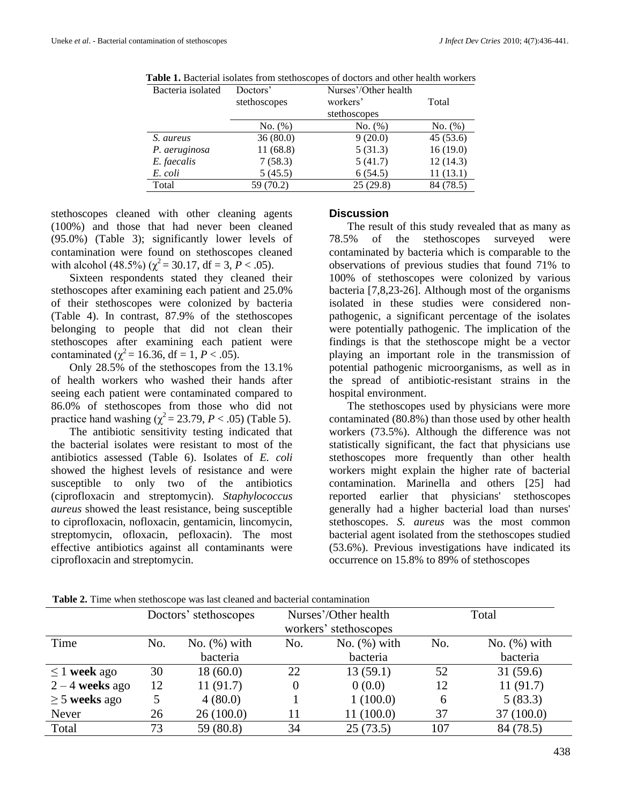| Bacteria isolated | Doctors'     | Nurses'/Other health |           |
|-------------------|--------------|----------------------|-----------|
|                   | stethoscopes | workers'             | Total     |
|                   |              | stethoscopes         |           |
|                   | No. (%)      | No. (%)              | No. (%)   |
| S. aureus         | 36(80.0)     | 9(20.0)              | 45(53.6)  |
| P. aeruginosa     | 11(68.8)     | 5(31.3)              | 16(19.0)  |
| E. faecalis       | 7(58.3)      | 5(41.7)              | 12(14.3)  |
| E. coli           | 5(45.5)      | 6(54.5)              | 11(13.1)  |
| Total             | 59 (70.2)    | 25(29.8)             | 84 (78.5) |
|                   |              |                      |           |

**Table 1.** Bacterial isolates from stethoscopes of doctors and other health workers

stethoscopes cleaned with other cleaning agents (100%) and those that had never been cleaned (95.0%) (Table 3); significantly lower levels of contamination were found on stethoscopes cleaned with alcohol (48.5%) ( $\chi^2$  = 30.17, df = 3,  $\dot{P}$  < .05).

Sixteen respondents stated they cleaned their stethoscopes after examining each patient and 25.0% of their stethoscopes were colonized by bacteria (Table 4). In contrast, 87.9% of the stethoscopes belonging to people that did not clean their stethoscopes after examining each patient were contaminated ( $\chi^2$  = 16.36, df = 1, *P* < .05).

Only 28.5% of the stethoscopes from the 13.1% of health workers who washed their hands after seeing each patient were contaminated compared to 86.0% of stethoscopes from those who did not practice hand washing  $(\chi^2 = 23.79, P < .05)$  (Table 5).

The antibiotic sensitivity testing indicated that the bacterial isolates were resistant to most of the antibiotics assessed (Table 6). Isolates of *E. coli* showed the highest levels of resistance and were susceptible to only two of the antibiotics (ciprofloxacin and streptomycin). *Staphylococcus aureus* showed the least resistance, being susceptible to ciprofloxacin, nofloxacin, gentamicin, lincomycin, streptomycin, ofloxacin, pefloxacin). The most effective antibiotics against all contaminants were ciprofloxacin and streptomycin.

### **Discussion**

The result of this study revealed that as many as 78.5% of the stethoscopes surveyed were contaminated by bacteria which is comparable to the observations of previous studies that found 71% to 100% of stethoscopes were colonized by various bacteria [7,8,23-26]. Although most of the organisms isolated in these studies were considered nonpathogenic, a significant percentage of the isolates were potentially pathogenic. The implication of the findings is that the stethoscope might be a vector playing an important role in the transmission of potential pathogenic microorganisms, as well as in the spread of antibiotic-resistant strains in the hospital environment.

The stethoscopes used by physicians were more contaminated (80.8%) than those used by other health workers (73.5%). Although the difference was not statistically significant, the fact that physicians use stethoscopes more frequently than other health workers might explain the higher rate of bacterial contamination. Marinella and others [25] had reported earlier that physicians' stethoscopes generally had a higher bacterial load than nurses' stethoscopes. *S. aureus* was the most common bacterial agent isolated from the stethoscopes studied (53.6%). Previous investigations have indicated its occurrence on 15.8% to 89% of stethoscopes

|                    | Doctors' stethoscopes |                 | Nurses'/Other health  |                 | Total |                 |
|--------------------|-----------------------|-----------------|-----------------------|-----------------|-------|-----------------|
|                    |                       |                 | workers' stethoscopes |                 |       |                 |
| Time               | No.                   | No. $(\%)$ with | No.                   | No. $(\%)$ with | No.   | No. $(\%)$ with |
|                    |                       | bacteria        |                       | bacteria        |       | bacteria        |
| $\leq$ 1 week ago  | 30                    | 18(60.0)        | 22                    | 13(59.1)        | 52    | 31(59.6)        |
| $2 - 4$ weeks ago  | 12                    | 11(91.7)        |                       | 0(0.0)          | 12    | 11(91.7)        |
| $\geq$ 5 weeks ago |                       | 4(80.0)         |                       | 1(100.0)        | 6     | 5(83.3)         |
| Never              | 26                    | 26(100.0)       |                       | 11 (100.0)      | 37    | 37 (100.0)      |
| Total              | 73                    | 59 (80.8)       | 34                    | 25(73.5)        | 107   | 84 (78.5)       |

**Table 2.** Time when stethoscope was last cleaned and bacterial contamination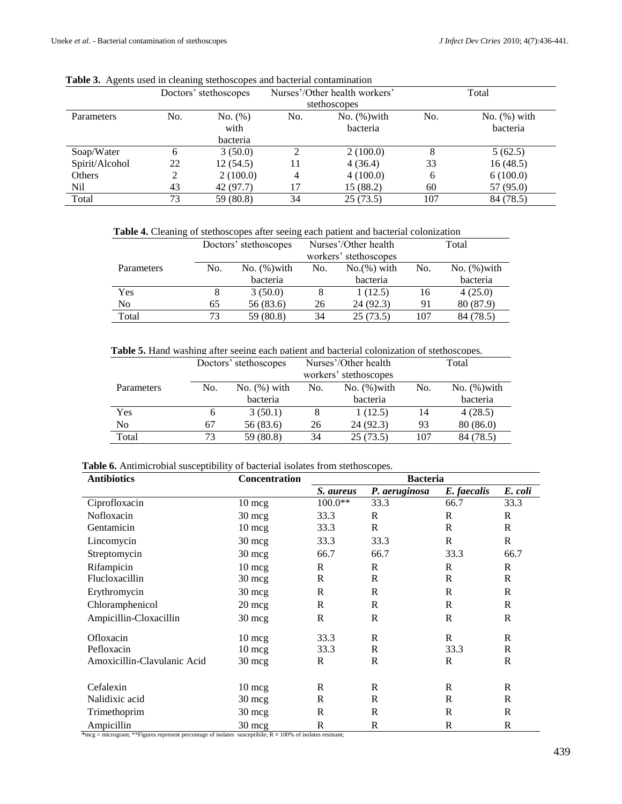| ັ              |     | ັ<br>Doctors' stethoscopes | Nurses'/Other health workers' |                 | Total |                 |  |
|----------------|-----|----------------------------|-------------------------------|-----------------|-------|-----------------|--|
|                |     |                            |                               | stethoscopes    |       |                 |  |
| Parameters     | No. | No. (%)                    | No.                           | No. $(\%)$ with | No.   | No. $(\%)$ with |  |
|                |     | with                       |                               | bacteria        |       | bacteria        |  |
|                |     | bacteria                   |                               |                 |       |                 |  |
| Soap/Water     | 6   | 3(50.0)                    |                               | 2(100.0)        | 8     | 5(62.5)         |  |
| Spirit/Alcohol | 22  | 12(54.5)                   |                               | 4(36.4)         | 33    | 16(48.5)        |  |
| Others         | 2   | 2(100.0)                   | $\overline{4}$                | 4(100.0)        | 6     | 6(100.0)        |  |
| Nil            | 43  | 42 (97.7)                  | 17                            | 15(88.2)        | 60    | 57 (95.0)       |  |
| Total          | 73  | 59 (80.8)                  | 34                            | 25(73.5)        | 107   | 84 (78.5)       |  |

|  |  |  |  |  |  | Table 3. Agents used in cleaning stethoscopes and bacterial contamination |
|--|--|--|--|--|--|---------------------------------------------------------------------------|
|--|--|--|--|--|--|---------------------------------------------------------------------------|

**Table 4.** Cleaning of stethoscopes after seeing each patient and bacterial colonization

|            | Doctors' stethoscopes |                 |     | Nurses'/Other health  | Total |                 |  |
|------------|-----------------------|-----------------|-----|-----------------------|-------|-----------------|--|
|            |                       |                 |     | workers' stethoscopes |       |                 |  |
| Parameters | No.                   | No. $(\%)$ with | No. | $No.(%)$ with         | No.   | No. $(\%)$ with |  |
|            |                       | bacteria        |     | bacteria              |       | bacteria        |  |
| Yes        |                       | 3(50.0)         |     | 1(12.5)               | 16    | 4(25.0)         |  |
| No         | 65                    | 56 (83.6)       | 26  | 24 (92.3)             | 91    | 80 (87.9)       |  |
| Total      | 73                    | 59 (80.8)       | 34  | 25(73.5)              | 107   | 84 (78.5)       |  |

**Table 5.** Hand washing after seeing each patient and bacterial colonization of stethoscopes.

|            | Nurses'/Other health<br>Doctors' stethoscopes |                 |     | Total                 |     |                 |
|------------|-----------------------------------------------|-----------------|-----|-----------------------|-----|-----------------|
|            |                                               |                 |     | workers' stethoscopes |     |                 |
| Parameters | No.                                           | No. $(\%)$ with | No. | No. $(\%)$ with       | No. | No. $(\%)$ with |
|            |                                               | bacteria        |     | bacteria              |     | bacteria        |
| Yes        | h                                             | 3(50.1)         | 8   | 1(12.5)               | 14  | 4(28.5)         |
| No         | 67                                            | 56 (83.6)       | 26  | 24(92.3)              | 93  | 80(86.0)        |
| Total      | 73                                            | 59 (80.8)       | 34  | 25(73.5)              | 107 | 84 (78.5)       |

**Table 6.** Antimicrobial susceptibility of bacterial isolates from stethoscopes.

| <b>Antibiotics</b>          | <b>Concentration</b> | <b>Bacteria</b> |               |              |              |  |  |
|-----------------------------|----------------------|-----------------|---------------|--------------|--------------|--|--|
|                             |                      | S. aureus       | P. aeruginosa | E. faecalis  | E. coli      |  |  |
| Ciprofloxacin               | $10 \text{ mcg}$     | $100.0**$       | 33.3          | 66.7         | 33.3         |  |  |
| Nofloxacin                  | $30 \text{ mcg}$     | 33.3            | $\mathbb{R}$  | R            | R            |  |  |
| Gentamicin                  | $10 \text{ mg}$      | 33.3            | R             | R            | R            |  |  |
| Lincomycin                  | $30 \text{ mcg}$     | 33.3            | 33.3          | R            | R            |  |  |
| Streptomycin                | $30 \text{~mg}$      | 66.7            | 66.7          | 33.3         | 66.7         |  |  |
| Rifampicin                  | $10 \text{ mcg}$     | R               | $\mathbb{R}$  | R            | R            |  |  |
| Flucloxacillin              | $30 \text{ mcg}$     | $\mathbb{R}$    | $\mathbb{R}$  | $\mathbb{R}$ | R            |  |  |
| Erythromycin                | $30 \text{ mcg}$     | R               | R             | $\mathbb{R}$ | R            |  |  |
| Chloramphenicol             | $20 \text{~mg}$      | R               | R             | $\mathbb{R}$ | $\mathsf{R}$ |  |  |
| Ampicillin-Cloxacillin      | $30 \text{ mcg}$     | $\mathbb{R}$    | $\mathbb{R}$  | R            | R            |  |  |
| Ofloxacin                   | $10 \text{ mcg}$     | 33.3            | R             | R            | R            |  |  |
| Pefloxacin                  | $10 \text{ mcg}$     | 33.3            | R             | 33.3         | R            |  |  |
| Amoxicillin-Clavulanic Acid | 30 mcg               | R               | $\mathbb{R}$  | $\mathbb{R}$ | R            |  |  |
|                             |                      |                 |               |              |              |  |  |
| Cefalexin                   | $10 \text{ mcg}$     | R               | R             | R            | R            |  |  |
| Nalidixic acid              | $30 \text{ mcg}$     | R               | R             | R            | R            |  |  |
| Trimethoprim                | $30 \text{ mcg}$     | R               | R             | R            | R            |  |  |
| Ampicillin                  | 30 mcg               | R               | R             | R            | $\mathbf R$  |  |  |

**\***mcg = microgram; \*\*Figures represent percentage of isolates susceptibile; R **=** 100% of isolates resistant;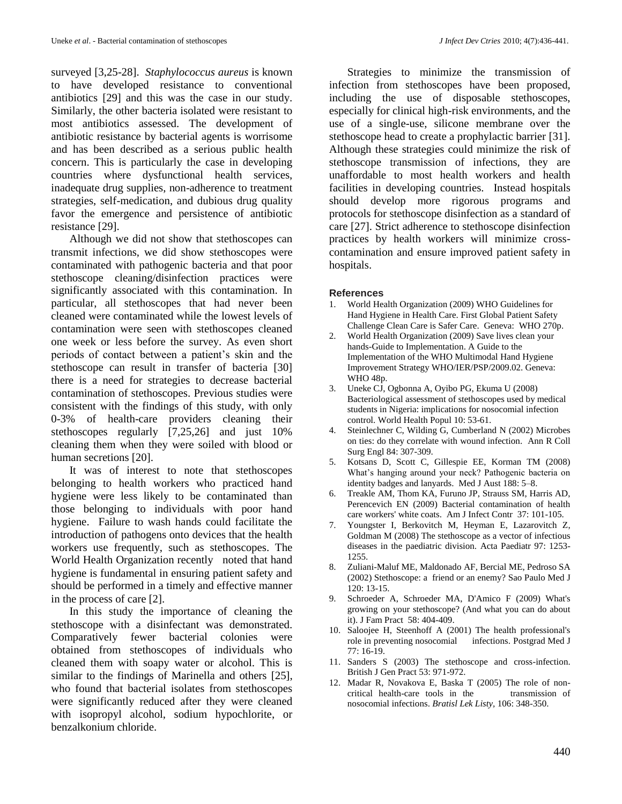surveyed [3,25-28]. *Staphylococcus aureus* is known to have developed resistance to conventional antibiotics [29] and this was the case in our study. Similarly, the other bacteria isolated were resistant to most antibiotics assessed. The development of antibiotic resistance by bacterial agents is worrisome and has been described as a serious public health concern. This is particularly the case in developing countries where dysfunctional health services, inadequate drug supplies, non-adherence to treatment strategies, self-medication, and dubious drug quality favor the emergence and persistence of antibiotic resistance [29].

Although we did not show that stethoscopes can transmit infections, we did show stethoscopes were contaminated with pathogenic bacteria and that poor stethoscope cleaning/disinfection practices were significantly associated with this contamination. In particular, all stethoscopes that had never been cleaned were contaminated while the lowest levels of contamination were seen with stethoscopes cleaned one week or less before the survey. As even short periods of contact between a patient's skin and the stethoscope can result in transfer of bacteria [30] there is a need for strategies to decrease bacterial contamination of stethoscopes. Previous studies were consistent with the findings of this study, with only 0-3% of health-care providers cleaning their stethoscopes regularly [7,25,26] and just 10% cleaning them when they were soiled with blood or human secretions [20].

It was of interest to note that stethoscopes belonging to health workers who practiced hand hygiene were less likely to be contaminated than those belonging to individuals with poor hand hygiene. Failure to wash hands could facilitate the introduction of pathogens onto devices that the health workers use frequently, such as stethoscopes. The World Health Organization recently noted that hand hygiene is fundamental in ensuring patient safety and should be performed in a timely and effective manner in the process of care [2].

In this study the importance of cleaning the stethoscope with a disinfectant was demonstrated. Comparatively fewer bacterial colonies were obtained from stethoscopes of individuals who cleaned them with soapy water or alcohol. This is similar to the findings of Marinella and others [25], who found that bacterial isolates from stethoscopes were significantly reduced after they were cleaned with isopropyl alcohol, sodium hypochlorite, or benzalkonium chloride.

Strategies to minimize the transmission of infection from stethoscopes have been proposed, including the use of disposable stethoscopes, especially for clinical high-risk environments, and the use of a single-use, silicone membrane over the stethoscope head to create a prophylactic barrier [31]. Although these strategies could minimize the risk of stethoscope transmission of infections, they are unaffordable to most health workers and health facilities in developing countries. Instead hospitals should develop more rigorous programs and protocols for stethoscope disinfection as a standard of care [27]. Strict adherence to stethoscope disinfection practices by health workers will minimize crosscontamination and ensure improved patient safety in hospitals.

### **References**

- 1. World Health Organization (2009) WHO Guidelines for Hand Hygiene in Health Care. First Global Patient Safety Challenge Clean Care is Safer Care. Geneva: WHO 270p.
- 2. World Health Organization (2009) Save lives clean your hands-Guide to Implementation. A Guide to the Implementation of the WHO Multimodal Hand Hygiene Improvement Strategy WHO/IER/PSP/2009.02. Geneva: WHO 48p.
- 3. Uneke CJ, Ogbonna A, Oyibo PG, Ekuma U (2008) Bacteriological assessment of stethoscopes used by medical students in Nigeria: implications for nosocomial infection control. World Health Popul 10: 53-61.
- 4. Steinlechner C, Wilding G, Cumberland N (2002) Microbes on ties: do they correlate with wound infection. Ann R Coll Surg Engl 84: 307-309.
- 5. Kotsans D, Scott C, Gillespie EE, Korman TM (2008) What's hanging around your neck? Pathogenic bacteria on identity badges and lanyards. Med J Aust 188: 5–8.
- 6. Treakle AM, Thom KA, Furuno JP, Strauss SM, Harris AD, Perencevich EN (2009) Bacterial contamination of health care workers' white coats. Am J Infect Contr 37: 101-105.
- 7. Youngster I, Berkovitch M, Heyman E, Lazarovitch Z, Goldman M (2008) The stethoscope as a vector of infectious diseases in the paediatric division. Acta Paediatr 97: 1253- 1255.
- 8. Zuliani-Maluf ME, Maldonado AF, Bercial ME, Pedroso SA (2002) Stethoscope: a friend or an enemy? Sao Paulo Med J 120: 13-15.
- 9. Schroeder A, Schroeder MA, D'Amico F (2009) What's growing on your stethoscope? (And what you can do about it). J Fam Pract 58: 404-409.
- 10. Saloojee H, Steenhoff A (2001) The health professional's role in preventing nosocomial infections. Postgrad Med J 77: 16-19.
- 11. Sanders S (2003) The stethoscope and cross-infection. British J Gen Pract 53: 971-972.
- 12. Madar R, Novakova E, Baska T (2005) The role of noncritical health-care tools in the transmission of nosocomial infections. *Bratisl Lek Listy,* 106: 348-350.